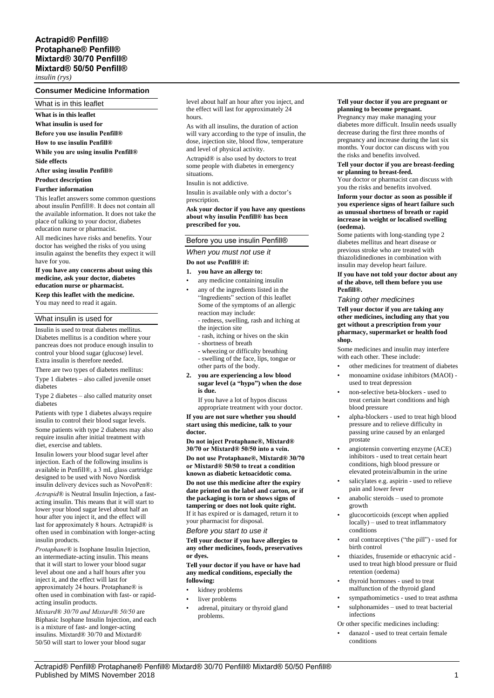*insulin (rys)*

## **Consumer Medicine Information**

What is in this leaflet

**What is in this leaflet**

**What insulin is used for**

**Before you use insulin Penfill®**

**How to use insulin Penfill®**

**While you are using insulin Penfill®**

**Side effects**

**After using insulin Penfill®**

**Product description**

# **Further information**

This leaflet answers some common questions about insulin Penfill®. It does not contain all the available information. It does not take the place of talking to your doctor, diabetes education nurse or pharmacist.

All medicines have risks and benefits. Your doctor has weighed the risks of you using insulin against the benefits they expect it will have for you.

**If you have any concerns about using this medicine, ask your doctor, diabetes education nurse or pharmacist.**

**Keep this leaflet with the medicine.** You may need to read it again.

## What insulin is used for

Insulin is used to treat diabetes mellitus. Diabetes mellitus is a condition where your pancreas does not produce enough insulin to control your blood sugar (glucose) level. Extra insulin is therefore needed.

There are two types of diabetes mellitus: Type 1 diabetes – also called juvenile onset

diabetes

Type 2 diabetes – also called maturity onset diabetes

Patients with type 1 diabetes always require insulin to control their blood sugar levels.

Some patients with type 2 diabetes may also require insulin after initial treatment with diet, exercise and tablets.

Insulin lowers your blood sugar level after injection. Each of the following insulins is available in Penfill®, a 3 mL glass cartridge designed to be used with Novo Nordisk insulin delivery devices such as NovoPen®:

*Actrapid®* is Neutral Insulin Injection, a fastacting insulin. This means that it will start to lower your blood sugar level about half an hour after you inject it, and the effect will last for approximately 8 hours. Actrapid® is often used in combination with longer-acting insulin products.

*Protaphane®* is Isophane Insulin Injection, an intermediate-acting insulin. This means that it will start to lower your blood sugar level about one and a half hours after you inject it, and the effect will last for approximately 24 hours. Protaphane® is often used in combination with fast- or rapidacting insulin products.

*Mixtard® 30/70 and Mixtard® 50/50* are Biphasic Isophane Insulin Injection, and each is a mixture of fast- and longer-acting insulins. Mixtard® 30/70 and Mixtard® 50/50 will start to lower your blood sugar

level about half an hour after you inject, and the effect will last for approximately 24 hours.

As with all insulins, the duration of action will vary according to the type of insulin, the dose, injection site, blood flow, temperature and level of physical activity.

Actrapid® is also used by doctors to treat some people with diabetes in emergency situations.

Insulin is not addictive.

Insulin is available only with a doctor's prescription.

#### **Ask your doctor if you have any questions about why insulin Penfill® has been prescribed for you.**

## Before you use insulin Penfill®

*When you must not use it*

## **Do not use Penfill® if:**

## **1. you have an allergy to:**

- any medicine containing insulin
- any of the ingredients listed in the "Ingredients" section of this leaflet Some of the symptoms of an allergic reaction may include: - redness, swelling, rash and itching at

the injection site

- rash, itching or hives on the skin
- shortness of breath
- wheezing or difficulty breathing - swelling of the face, lips, tongue or
- other parts of the body.
- **2. you are experiencing a low blood sugar level (a "hypo") when the dose is due.**

If you have a lot of hypos discuss appropriate treatment with your doctor.

**If you are not sure whether you should start using this medicine, talk to your doctor.**

**Do not inject Protaphane®, Mixtard® 30/70 or Mixtard® 50/50 into a vein.**

**Do not use Protaphane®, Mixtard® 30/70 or Mixtard® 50/50 to treat a condition known as diabetic ketoacidotic coma. Do not use this medicine after the expiry date printed on the label and carton, or if the packaging is torn or shows signs of tampering or does not look quite right.** If it has expired or is damaged, return it to your pharmacist for disposal.

# *Before you start to use it*

**Tell your doctor if you have allergies to any other medicines, foods, preservatives or dyes.**

**Tell your doctor if you have or have had any medical conditions, especially the following:**

- kidney problems
- liver problems
- adrenal, pituitary or thyroid gland problems.

#### **Tell your doctor if you are pregnant or planning to become pregnant.**

Pregnancy may make managing your diabetes more difficult. Insulin needs usually decrease during the first three months of pregnancy and increase during the last six months. Your doctor can discuss with you the risks and benefits involved.

#### **Tell your doctor if you are breast-feeding or planning to breast-feed.**

Your doctor or pharmacist can discuss with you the risks and benefits involved.

#### **Inform your doctor as soon as possible if you experience signs of heart failure such as unusual shortness of breath or rapid increase in weight or localised swelling (oedema).**

Some patients with long-standing type 2 diabetes mellitus and heart disease or previous stroke who are treated with thiazolidinediones in combination with insulin may develop heart failure.

#### **If you have not told your doctor about any of the above, tell them before you use Penfill®.**

#### *Taking other medicines*

**Tell your doctor if you are taking any other medicines, including any that you get without a prescription from your pharmacy, supermarket or health food shop.**

Some medicines and insulin may interfere with each other. These include:

- other medicines for treatment of diabetes
- monoamine oxidase inhibitors (MAOI) used to treat depression
- non-selective beta-blockers used to treat certain heart conditions and high blood pressure
- alpha-blockers used to treat high blood pressure and to relieve difficulty in passing urine caused by an enlarged prostate
- angiotensin converting enzyme (ACE) inhibitors - used to treat certain heart conditions, high blood pressure or elevated protein/albumin in the urine
- salicylates e.g. aspirin used to relieve pain and lower fever
- anabolic steroids used to promote growth
- glucocorticoids (except when applied locally) – used to treat inflammatory conditions
- oral contraceptives ("the pill") used for birth control
- thiazides, frusemide or ethacrynic acid used to treat high blood pressure or fluid retention (oedema)
- thyroid hormones used to treat malfunction of the thyroid gland
- sympathomimetics used to treat asthma
- sulphonamides used to treat bacterial infections
- Or other specific medicines including:
- danazol used to treat certain female conditions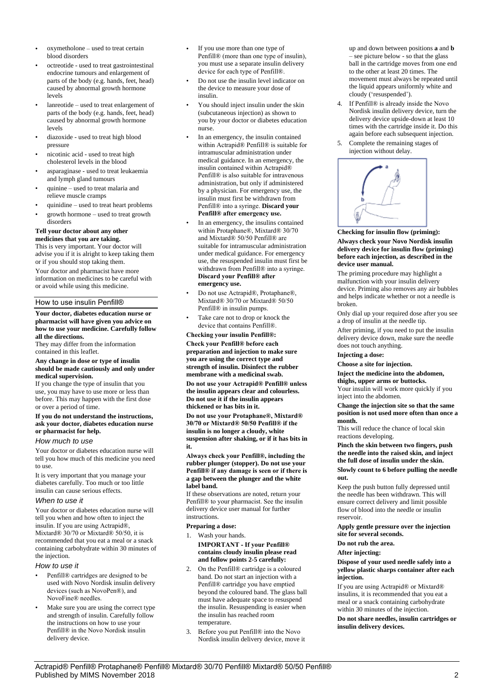- oxymetholone used to treat certain blood disorders
- octreotide used to treat gastrointestinal endocrine tumours and enlargement of parts of the body (e.g. hands, feet, head) caused by abnormal growth hormone levels
- lanreotide used to treat enlargement of parts of the body (e.g. hands, feet, head) caused by abnormal growth hormone levels
- diazoxide used to treat high blood pressure
- nicotinic acid used to treat high cholesterol levels in the blood
- asparaginase used to treat leukaemia and lymph gland tumours
- quinine used to treat malaria and relieve muscle cramps
- quinidine used to treat heart problems
- growth hormone used to treat growth disorders

# **Tell your doctor about any other**

**medicines that you are taking.** This is very important. Your doctor will advise you if it is alright to keep taking them or if you should stop taking them.

Your doctor and pharmacist have more information on medicines to be careful with or avoid while using this medicine.

### How to use insulin Penfill®

#### **Your doctor, diabetes education nurse or pharmacist will have given you advice on how to use your medicine. Carefully follow all the directions.**

They may differ from the information contained in this leaflet.

#### **Any change in dose or type of insulin should be made cautiously and only under medical supervision.**

If you change the type of insulin that you use, you may have to use more or less than before. This may happen with the first dose or over a period of time.

#### **If you do not understand the instructions, ask your doctor, diabetes education nurse or pharmacist for help.**

### *How much to use*

Your doctor or diabetes education nurse will tell you how much of this medicine you need to use.

It is very important that you manage your diabetes carefully. Too much or too little insulin can cause serious effects.

### *When to use it*

Your doctor or diabetes education nurse will tell you when and how often to inject the insulin. If you are using Actrapid®, Mixtard® 30/70 or Mixtard® 50/50, it is recommended that you eat a meal or a snack containing carbohydrate within 30 minutes of the injection.

## *How to use it*

- Penfill® cartridges are designed to be used with Novo Nordisk insulin delivery devices (such as NovoPen®), and NovoFine® needles.
- Make sure you are using the correct type and strength of insulin. Carefully follow the instructions on how to use your Penfill® in the Novo Nordisk insulin delivery device.
- If you use more than one type of Penfill® (more than one type of insulin), you must use a separate insulin delivery device for each type of Penfill®.
- Do not use the insulin level indicator on the device to measure your dose of insulin.
- You should inject insulin under the skin (subcutaneous injection) as shown to you by your doctor or diabetes education nurse.
- In an emergency, the insulin contained within Actrapid® Penfill® is suitable for intramuscular administration under medical guidance. In an emergency, the insulin contained within Actrapid® Penfill® is also suitable for intravenous administration, but only if administered by a physician. For emergency use, the insulin must first be withdrawn from Penfill® into a syringe. **Discard your Penfill® after emergency use.**
- In an emergency, the insulins contained within Protaphane®, Mixtard® 30/70 and Mixtard® 50/50 Penfill® are suitable for intramuscular administration under medical guidance. For emergency use, the resuspended insulin must first be withdrawn from Penfill® into a syringe. **Discard your Penfill® after emergency use.**
- Do not use Actrapid®, Protaphane®, Mixtard® 30/70 or Mixtard® 50/50 Penfill® in insulin pumps.
- Take care not to drop or knock the device that contains Penfill®.

#### **Checking your insulin Penfill®:**

**Check your Penfill® before each preparation and injection to make sure you are using the correct type and strength of insulin. Disinfect the rubber membrane with a medicinal swab.**

**Do not use your Actrapid® Penfill® unless the insulin appears clear and colourless. Do not use it if the insulin appears thickened or has bits in it.**

**Do not use your Protaphane®, Mixtard® 30/70 or Mixtard® 50/50 Penfill® if the insulin is no longer a cloudy, white suspension after shaking, or if it has bits in it.**

**Always check your Penfill®, including the rubber plunger (stopper). Do not use your Penfill® if any damage is seen or if there is a gap between the plunger and the white label band.**

If these observations are noted, return your Penfill® to your pharmacist. See the insulin delivery device user manual for further instructions.

### **Preparing a dose:**

- 1. Wash your hands. **IMPORTANT - If your Penfill® contains cloudy insulin please read and follow points 2-5 carefully:**
- 2. On the Penfill® cartridge is a coloured band. Do not start an injection with a Penfill® cartridge you have emptied beyond the coloured band. The glass ball must have adequate space to resuspend the insulin. Resuspending is easier when the insulin has reached room temperature.
- 3. Before you put Penfill® into the Novo Nordisk insulin delivery device, move it

up and down between positions **a** and **b** – see picture below - so that the glass ball in the cartridge moves from one end to the other at least 20 times. The movement must always be repeated until the liquid appears uniformly white and cloudy ('resuspended').

- 4. If Penfill® is already inside the Novo Nordisk insulin delivery device, turn the delivery device upside-down at least 10 times with the cartridge inside it. Do this again before each subsequent injection.
- 5. Complete the remaining stages of injection without delay.



**Checking for insulin flow (priming): Always check your Novo Nordisk insulin delivery device for insulin flow (priming) before each injection, as described in the device user manual.**

The priming procedure may highlight a malfunction with your insulin delivery device. Priming also removes any air bubbles and helps indicate whether or not a needle is broken.

Only dial up your required dose after you see a drop of insulin at the needle tip.

After priming, if you need to put the insulin delivery device down, make sure the needle does not touch anything.

#### **Injecting a dose:**

**Choose a site for injection.**

# **Inject the medicine into the abdomen,**

**thighs, upper arms or buttocks.** Your insulin will work more quickly if you inject into the abdomen.

**Change the injection site so that the same position is not used more often than once a month.**

This will reduce the chance of local skin reactions developing.

**Pinch the skin between two fingers, push the needle into the raised skin, and inject the full dose of insulin under the skin.**

#### **Slowly count to 6 before pulling the needle out.**

Keep the push button fully depressed until the needle has been withdrawn. This will ensure correct delivery and limit possible flow of blood into the needle or insulin reservoir.

**Apply gentle pressure over the injection site for several seconds.**

**Do not rub the area.**

### **After injecting:**

**Dispose of your used needle safely into a yellow plastic sharps container after each injection.**

If you are using Actrapid® or Mixtard® insulins, it is recommended that you eat a meal or a snack containing carbohydrate within 30 minutes of the injection.

**Do not share needles, insulin cartridges or insulin delivery devices.**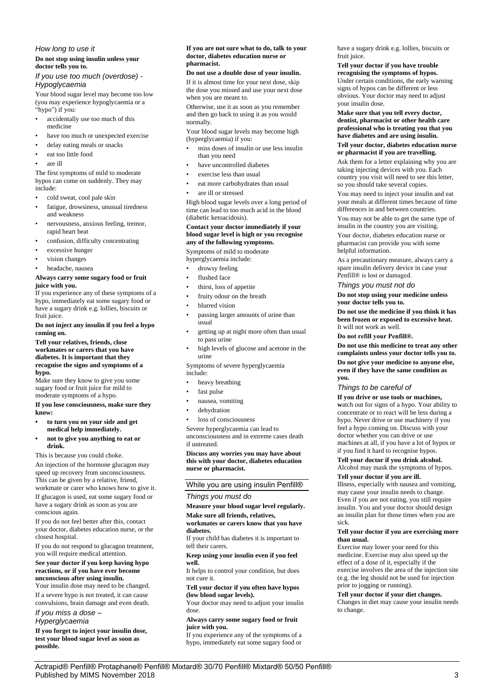# *How long to use it* **Do not stop using insulin unless your**

## **doctor tells you to.** *If you use too much (overdose) - Hypoglycaemia*

Your blood sugar level may become too low (you may experience hypoglycaemia or a "hypo") if you:

- accidentally use too much of this medicine
- have too much or unexpected exercise
- delay eating meals or snacks
- eat too little food
- are ill

The first symptoms of mild to moderate hypos can come on suddenly. They may include:

- cold sweat, cool pale skin
- fatigue, drowsiness, unusual tiredness and weakness
- nervousness, anxious feeling, tremor, rapid heart beat
- confusion, difficulty concentrating
- excessive hunger
- vision changes
- headache, nausea

## **Always carry some sugary food or fruit juice with you.**

If you experience any of these symptoms of a hypo, immediately eat some sugary food or have a sugary drink e.g. lollies, biscuits or fruit juice.

#### **Do not inject any insulin if you feel a hypo coming on.**

#### **Tell your relatives, friends, close workmates or carers that you have diabetes. It is important that they recognise the signs and symptoms of a hypo.**

Make sure they know to give you some sugary food or fruit juice for mild to moderate symptoms of a hypo.

**If you lose consciousness, make sure they know:**

- **• to turn you on your side and get medical help immediately.**
- **• not to give you anything to eat or drink.**

This is because you could choke.

An injection of the hormone glucagon may speed up recovery from unconsciousness. This can be given by a relative, friend, workmate or carer who knows how to give it. If glucagon is used, eat some sugary food or have a sugary drink as soon as you are

conscious again. If you do not feel better after this, contact your doctor, diabetes education nurse, or the closest hospital.

If you do not respond to glucagon treatment, you will require medical attention.

### **See your doctor if you keep having hypo reactions, or if you have ever become unconscious after using insulin.**

Your insulin dose may need to be changed. If a severe hypo is not treated, it can cause

convulsions, brain damage and even death. *If you miss a dose –*

# *Hyperglycaemia*

**If you forget to inject your insulin dose, test your blood sugar level as soon as possible.**

#### **If you are not sure what to do, talk to your doctor, diabetes education nurse or pharmacist.**

#### **Do not use a double dose of your insulin.**

If it is almost time for your next dose, skip the dose you missed and use your next dose when you are meant to.

Otherwise, use it as soon as you remember and then go back to using it as you would normally.

Your blood sugar levels may become high (hyperglycaemia) if you:

- miss doses of insulin or use less insulin than you need
- have uncontrolled diabetes
- exercise less than usual
- eat more carbohydrates than usual
- are ill or stressed

High blood sugar levels over a long period of time can lead to too much acid in the blood (diabetic ketoacidosis).

#### **Contact your doctor immediately if your blood sugar level is high or you recognise any of the following symptoms.**

Symptoms of mild to moderate hyperglycaemia include:

- drowsy feeling
- flushed face
- thirst, loss of appetite
- fruity odour on the breath
- blurred vision
- passing larger amounts of urine than usual
- getting up at night more often than usual to pass urine
- high levels of glucose and acetone in the urine

Symptoms of severe hyperglycaemia include:

- heavy breathing
- fast pulse
- nausea, vomiting
- dehydration
- loss of consciousness

Severe hyperglycaemia can lead to unconsciousness and in extreme cases death if untreated.

**Discuss any worries you may have about this with your doctor, diabetes education nurse or pharmacist.**

# While you are using insulin Penfill®

### *Things you must do*

**Measure your blood sugar level regularly. Make sure all friends, relatives,** 

### **workmates or carers know that you have diabetes.**

If your child has diabetes it is important to tell their carers.

#### **Keep using your insulin even if you feel well.**

It helps to control your condition, but does not cure it.

**Tell your doctor if you often have hypos (low blood sugar levels).**

Your doctor may need to adjust your insulin dose.

**Always carry some sugary food or fruit juice with you.**

If you experience any of the symptoms of a hypo, immediately eat some sugary food or have a sugary drink e.g. lollies, biscuits or fruit juice.

**Tell your doctor if you have trouble recognising the symptoms of hypos.** Under certain conditions, the early warning signs of hypos can be different or less obvious. Your doctor may need to adjust

your insulin dose. **Make sure that you tell every doctor, dentist, pharmacist or other health care professional who is treating you that you have diabetes and are using insulin.**

### **Tell your doctor, diabetes education nurse or pharmacist if you are travelling.**

Ask them for a letter explaining why you are taking injecting devices with you. Each country you visit will need to see this letter, so you should take several copies.

You may need to inject your insulin and eat your meals at different times because of time differences in and between countries.

You may not be able to get the same type of insulin in the country you are visiting.

Your doctor, diabetes education nurse or pharmacist can provide you with some helpful information.

As a precautionary measure, always carry a spare insulin delivery device in case your Penfill® is lost or damaged.

*Things you must not do*

**Do not stop using your medicine unless your doctor tells you to.**

**Do not use the medicine if you think it has been frozen or exposed to excessive heat.** It will not work as well.

**Do not refill your Penfill®.**

**Do not use this medicine to treat any other complaints unless your doctor tells you to. Do not give your medicine to anyone else, even if they have the same condition as you.**

### *Things to be careful of*

**If you drive or use tools or machines,**  watch out for signs of a hypo. Your ability to concentrate or to react will be less during a hypo. Never drive or use machinery if you feel a hypo coming on. Discuss with your doctor whether you can drive or use machines at all, if you have a lot of hypos or if you find it hard to recognise hypos.

# **Tell your doctor if you drink alcohol.**

Alcohol may mask the symptoms of hypos. **Tell your doctor if you are ill.**

Illness, especially with nausea and vomiting, may cause your insulin needs to change. Even if you are not eating, you still require insulin. You and your doctor should design an insulin plan for those times when you are sick.

#### **Tell your doctor if you are exercising more than usual.**

Exercise may lower your need for this medicine. Exercise may also speed up the effect of a dose of it, especially if the exercise involves the area of the injection site (e.g. the leg should not be used for injection prior to jogging or running).

**Tell your doctor if your diet changes.** Changes in diet may cause your insulin needs to change.